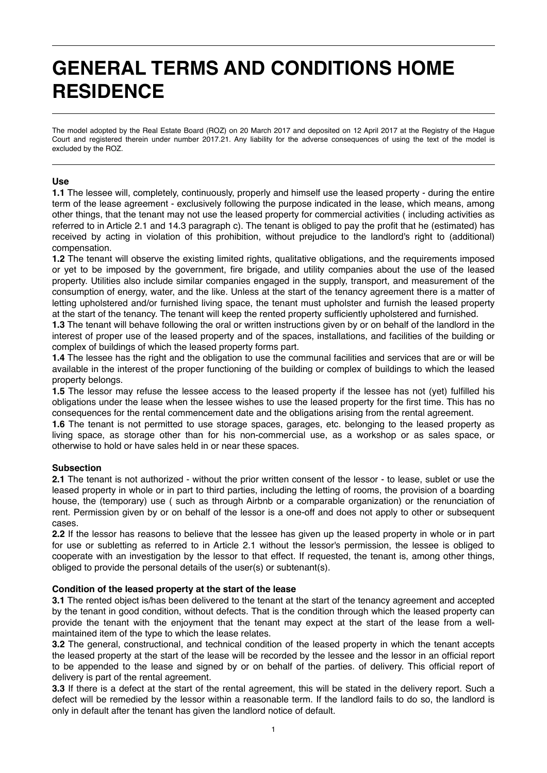# **GENERAL TERMS AND CONDITIONS HOME RESIDENCE**

The model adopted by the Real Estate Board (ROZ) on 20 March 2017 and deposited on 12 April 2017 at the Registry of the Hague Court and registered therein under number 2017.21. Any liability for the adverse consequences of using the text of the model is excluded by the ROZ.

# **Use**

**1.1** The lessee will, completely, continuously, properly and himself use the leased property - during the entire term of the lease agreement - exclusively following the purpose indicated in the lease, which means, among other things, that the tenant may not use the leased property for commercial activities ( including activities as referred to in Article 2.1 and 14.3 paragraph c). The tenant is obliged to pay the profit that he (estimated) has received by acting in violation of this prohibition, without prejudice to the landlord's right to (additional) compensation.

**1.2** The tenant will observe the existing limited rights, qualitative obligations, and the requirements imposed or yet to be imposed by the government, fire brigade, and utility companies about the use of the leased property. Utilities also include similar companies engaged in the supply, transport, and measurement of the consumption of energy, water, and the like. Unless at the start of the tenancy agreement there is a matter of letting upholstered and/or furnished living space, the tenant must upholster and furnish the leased property at the start of the tenancy. The tenant will keep the rented property sufficiently upholstered and furnished.

**1.3** The tenant will behave following the oral or written instructions given by or on behalf of the landlord in the interest of proper use of the leased property and of the spaces, installations, and facilities of the building or complex of buildings of which the leased property forms part.

**1.4** The lessee has the right and the obligation to use the communal facilities and services that are or will be available in the interest of the proper functioning of the building or complex of buildings to which the leased property belongs.

**1.5** The lessor may refuse the lessee access to the leased property if the lessee has not (yet) fulfilled his obligations under the lease when the lessee wishes to use the leased property for the first time. This has no consequences for the rental commencement date and the obligations arising from the rental agreement.

**1.6** The tenant is not permitted to use storage spaces, garages, etc. belonging to the leased property as living space, as storage other than for his non-commercial use, as a workshop or as sales space, or otherwise to hold or have sales held in or near these spaces.

# **Subsection**

**2.1** The tenant is not authorized - without the prior written consent of the lessor - to lease, sublet or use the leased property in whole or in part to third parties, including the letting of rooms, the provision of a boarding house, the (temporary) use ( such as through Airbnb or a comparable organization) or the renunciation of rent. Permission given by or on behalf of the lessor is a one-off and does not apply to other or subsequent cases.

**2.2** If the lessor has reasons to believe that the lessee has given up the leased property in whole or in part for use or subletting as referred to in Article 2.1 without the lessor's permission, the lessee is obliged to cooperate with an investigation by the lessor to that effect. If requested, the tenant is, among other things, obliged to provide the personal details of the user(s) or subtenant(s).

### **Condition of the leased property at the start of the lease**

**3.1** The rented object is/has been delivered to the tenant at the start of the tenancy agreement and accepted by the tenant in good condition, without defects. That is the condition through which the leased property can provide the tenant with the enjoyment that the tenant may expect at the start of the lease from a wellmaintained item of the type to which the lease relates.

**3.2** The general, constructional, and technical condition of the leased property in which the tenant accepts the leased property at the start of the lease will be recorded by the lessee and the lessor in an official report to be appended to the lease and signed by or on behalf of the parties. of delivery. This official report of delivery is part of the rental agreement.

**3.3** If there is a defect at the start of the rental agreement, this will be stated in the delivery report. Such a defect will be remedied by the lessor within a reasonable term. If the landlord fails to do so, the landlord is only in default after the tenant has given the landlord notice of default.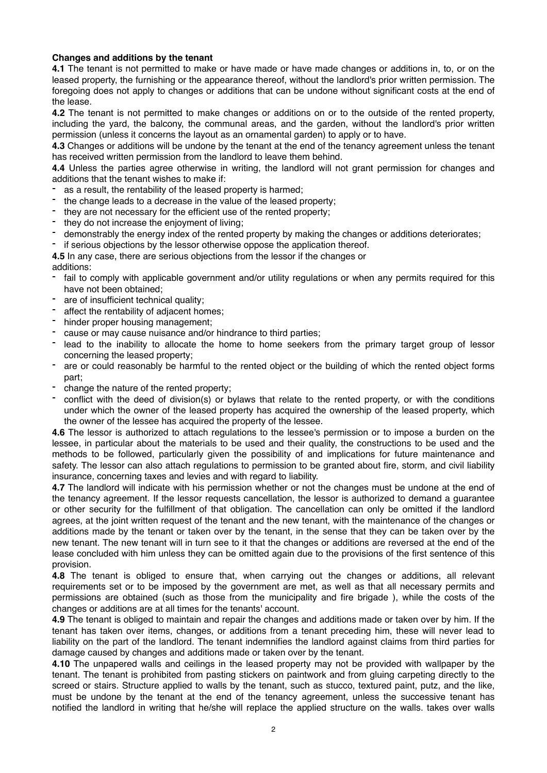# **Changes and additions by the tenant**

**4.1** The tenant is not permitted to make or have made or have made changes or additions in, to, or on the leased property, the furnishing or the appearance thereof, without the landlord's prior written permission. The foregoing does not apply to changes or additions that can be undone without significant costs at the end of the lease.

**4.2** The tenant is not permitted to make changes or additions on or to the outside of the rented property, including the yard, the balcony, the communal areas, and the garden, without the landlord's prior written permission (unless it concerns the layout as an ornamental garden) to apply or to have.

**4.3** Changes or additions will be undone by the tenant at the end of the tenancy agreement unless the tenant has received written permission from the landlord to leave them behind.

**4.4** Unless the parties agree otherwise in writing, the landlord will not grant permission for changes and additions that the tenant wishes to make if:

- as a result, the rentability of the leased property is harmed;
- the change leads to a decrease in the value of the leased property;
- they are not necessary for the efficient use of the rented property;
- they do not increase the enjoyment of living;
- demonstrably the energy index of the rented property by making the changes or additions deteriorates;
- if serious objections by the lessor otherwise oppose the application thereof.

**4.5** In any case, there are serious objections from the lessor if the changes or additions:

- fail to comply with applicable government and/or utility regulations or when any permits required for this have not been obtained;
- are of insufficient technical quality;
- affect the rentability of adjacent homes;
- hinder proper housing management;
- cause or may cause nuisance and/or hindrance to third parties;
- lead to the inability to allocate the home to home seekers from the primary target group of lessor concerning the leased property;
- are or could reasonably be harmful to the rented object or the building of which the rented object forms part;
- change the nature of the rented property;
- conflict with the deed of division(s) or bylaws that relate to the rented property, or with the conditions under which the owner of the leased property has acquired the ownership of the leased property, which the owner of the lessee has acquired the property of the lessee.

**4.6** The lessor is authorized to attach regulations to the lessee's permission or to impose a burden on the lessee, in particular about the materials to be used and their quality, the constructions to be used and the methods to be followed, particularly given the possibility of and implications for future maintenance and safety. The lessor can also attach regulations to permission to be granted about fire, storm, and civil liability insurance, concerning taxes and levies and with regard to liability.

**4.7** The landlord will indicate with his permission whether or not the changes must be undone at the end of the tenancy agreement. If the lessor requests cancellation, the lessor is authorized to demand a guarantee or other security for the fulfillment of that obligation. The cancellation can only be omitted if the landlord agrees, at the joint written request of the tenant and the new tenant, with the maintenance of the changes or additions made by the tenant or taken over by the tenant, in the sense that they can be taken over by the new tenant. The new tenant will in turn see to it that the changes or additions are reversed at the end of the lease concluded with him unless they can be omitted again due to the provisions of the first sentence of this provision.

**4.8** The tenant is obliged to ensure that, when carrying out the changes or additions, all relevant requirements set or to be imposed by the government are met, as well as that all necessary permits and permissions are obtained (such as those from the municipality and fire brigade ), while the costs of the changes or additions are at all times for the tenants' account.

**4.9** The tenant is obliged to maintain and repair the changes and additions made or taken over by him. If the tenant has taken over items, changes, or additions from a tenant preceding him, these will never lead to liability on the part of the landlord. The tenant indemnifies the landlord against claims from third parties for damage caused by changes and additions made or taken over by the tenant.

**4.10** The unpapered walls and ceilings in the leased property may not be provided with wallpaper by the tenant. The tenant is prohibited from pasting stickers on paintwork and from gluing carpeting directly to the screed or stairs. Structure applied to walls by the tenant, such as stucco, textured paint, putz, and the like, must be undone by the tenant at the end of the tenancy agreement, unless the successive tenant has notified the landlord in writing that he/she will replace the applied structure on the walls. takes over walls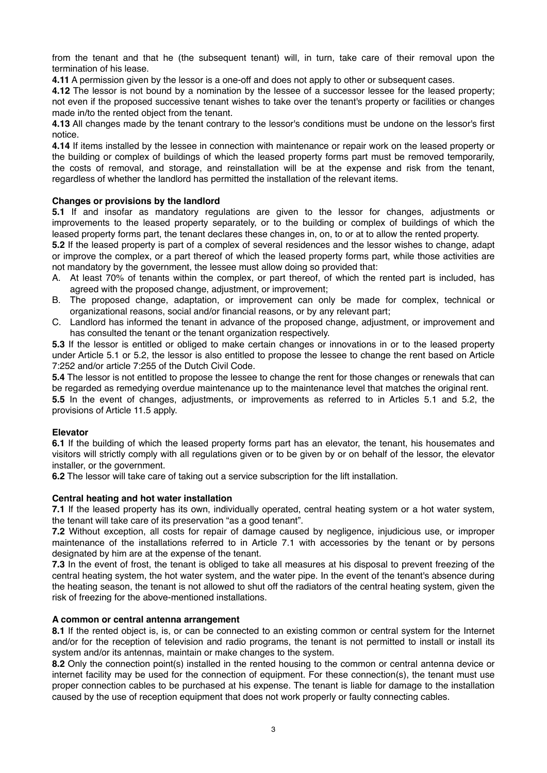from the tenant and that he (the subsequent tenant) will, in turn, take care of their removal upon the termination of his lease.

**4.11** A permission given by the lessor is a one-off and does not apply to other or subsequent cases.

**4.12** The lessor is not bound by a nomination by the lessee of a successor lessee for the leased property; not even if the proposed successive tenant wishes to take over the tenant's property or facilities or changes made in/to the rented object from the tenant.

**4.13** All changes made by the tenant contrary to the lessor's conditions must be undone on the lessor's first notice.

**4.14** If items installed by the lessee in connection with maintenance or repair work on the leased property or the building or complex of buildings of which the leased property forms part must be removed temporarily, the costs of removal, and storage, and reinstallation will be at the expense and risk from the tenant, regardless of whether the landlord has permitted the installation of the relevant items.

# **Changes or provisions by the landlord**

**5.1** If and insofar as mandatory regulations are given to the lessor for changes, adjustments or improvements to the leased property separately, or to the building or complex of buildings of which the leased property forms part, the tenant declares these changes in, on, to or at to allow the rented property.

**5.2** If the leased property is part of a complex of several residences and the lessor wishes to change, adapt or improve the complex, or a part thereof of which the leased property forms part, while those activities are not mandatory by the government, the lessee must allow doing so provided that:

- A. At least 70% of tenants within the complex, or part thereof, of which the rented part is included, has agreed with the proposed change, adjustment, or improvement;
- B. The proposed change, adaptation, or improvement can only be made for complex, technical or organizational reasons, social and/or financial reasons, or by any relevant part;
- C. Landlord has informed the tenant in advance of the proposed change, adjustment, or improvement and has consulted the tenant or the tenant organization respectively.

**5.3** If the lessor is entitled or obliged to make certain changes or innovations in or to the leased property under Article 5.1 or 5.2, the lessor is also entitled to propose the lessee to change the rent based on Article 7:252 and/or article 7:255 of the Dutch Civil Code.

**5.4** The lessor is not entitled to propose the lessee to change the rent for those changes or renewals that can be regarded as remedying overdue maintenance up to the maintenance level that matches the original rent.

**5.5** In the event of changes, adjustments, or improvements as referred to in Articles 5.1 and 5.2, the provisions of Article 11.5 apply.

# **Elevator**

**6.1** If the building of which the leased property forms part has an elevator, the tenant, his housemates and visitors will strictly comply with all regulations given or to be given by or on behalf of the lessor, the elevator installer, or the government.

**6.2** The lessor will take care of taking out a service subscription for the lift installation.

# **Central heating and hot water installation**

**7.1** If the leased property has its own, individually operated, central heating system or a hot water system, the tenant will take care of its preservation "as a good tenant".

**7.2** Without exception, all costs for repair of damage caused by negligence, injudicious use, or improper maintenance of the installations referred to in Article 7.1 with accessories by the tenant or by persons designated by him are at the expense of the tenant.

**7.3** In the event of frost, the tenant is obliged to take all measures at his disposal to prevent freezing of the central heating system, the hot water system, and the water pipe. In the event of the tenant's absence during the heating season, the tenant is not allowed to shut off the radiators of the central heating system, given the risk of freezing for the above-mentioned installations.

# **A common or central antenna arrangement**

**8.1** If the rented object is, is, or can be connected to an existing common or central system for the Internet and/or for the reception of television and radio programs, the tenant is not permitted to install or install its system and/or its antennas, maintain or make changes to the system.

**8.2** Only the connection point(s) installed in the rented housing to the common or central antenna device or internet facility may be used for the connection of equipment. For these connection(s), the tenant must use proper connection cables to be purchased at his expense. The tenant is liable for damage to the installation caused by the use of reception equipment that does not work properly or faulty connecting cables.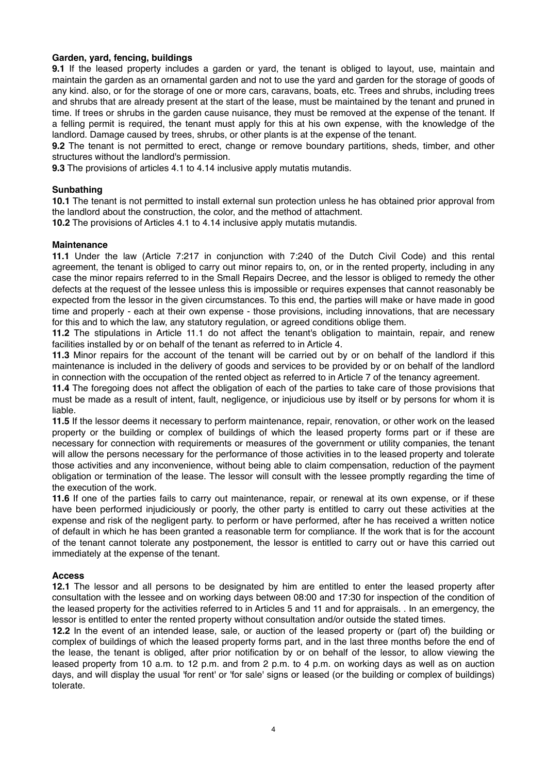## **Garden, yard, fencing, buildings**

**9.1** If the leased property includes a garden or yard, the tenant is obliged to layout, use, maintain and maintain the garden as an ornamental garden and not to use the yard and garden for the storage of goods of any kind. also, or for the storage of one or more cars, caravans, boats, etc. Trees and shrubs, including trees and shrubs that are already present at the start of the lease, must be maintained by the tenant and pruned in time. If trees or shrubs in the garden cause nuisance, they must be removed at the expense of the tenant. If a felling permit is required, the tenant must apply for this at his own expense, with the knowledge of the landlord. Damage caused by trees, shrubs, or other plants is at the expense of the tenant.

**9.2** The tenant is not permitted to erect, change or remove boundary partitions, sheds, timber, and other structures without the landlord's permission.

**9.3** The provisions of articles 4.1 to 4.14 inclusive apply mutatis mutandis.

## **Sunbathing**

**10.1** The tenant is not permitted to install external sun protection unless he has obtained prior approval from the landlord about the construction, the color, and the method of attachment.

**10.2** The provisions of Articles 4.1 to 4.14 inclusive apply mutatis mutandis.

### **Maintenance**

**11.1** Under the law (Article 7:217 in conjunction with 7:240 of the Dutch Civil Code) and this rental agreement, the tenant is obliged to carry out minor repairs to, on, or in the rented property, including in any case the minor repairs referred to in the Small Repairs Decree, and the lessor is obliged to remedy the other defects at the request of the lessee unless this is impossible or requires expenses that cannot reasonably be expected from the lessor in the given circumstances. To this end, the parties will make or have made in good time and properly - each at their own expense - those provisions, including innovations, that are necessary for this and to which the law, any statutory regulation, or agreed conditions oblige them.

**11.2** The stipulations in Article 11.1 do not affect the tenant's obligation to maintain, repair, and renew facilities installed by or on behalf of the tenant as referred to in Article 4.

**11.3** Minor repairs for the account of the tenant will be carried out by or on behalf of the landlord if this maintenance is included in the delivery of goods and services to be provided by or on behalf of the landlord in connection with the occupation of the rented object as referred to in Article 7 of the tenancy agreement.

**11.4** The foregoing does not affect the obligation of each of the parties to take care of those provisions that must be made as a result of intent, fault, negligence, or injudicious use by itself or by persons for whom it is liable.

**11.5** If the lessor deems it necessary to perform maintenance, repair, renovation, or other work on the leased property or the building or complex of buildings of which the leased property forms part or if these are necessary for connection with requirements or measures of the government or utility companies, the tenant will allow the persons necessary for the performance of those activities in to the leased property and tolerate those activities and any inconvenience, without being able to claim compensation, reduction of the payment obligation or termination of the lease. The lessor will consult with the lessee promptly regarding the time of the execution of the work.

**11.6** If one of the parties fails to carry out maintenance, repair, or renewal at its own expense, or if these have been performed injudiciously or poorly, the other party is entitled to carry out these activities at the expense and risk of the negligent party. to perform or have performed, after he has received a written notice of default in which he has been granted a reasonable term for compliance. If the work that is for the account of the tenant cannot tolerate any postponement, the lessor is entitled to carry out or have this carried out immediately at the expense of the tenant.

### **Access**

**12.1** The lessor and all persons to be designated by him are entitled to enter the leased property after consultation with the lessee and on working days between 08:00 and 17:30 for inspection of the condition of the leased property for the activities referred to in Articles 5 and 11 and for appraisals. . In an emergency, the lessor is entitled to enter the rented property without consultation and/or outside the stated times.

**12.2** In the event of an intended lease, sale, or auction of the leased property or (part of) the building or complex of buildings of which the leased property forms part, and in the last three months before the end of the lease, the tenant is obliged, after prior notification by or on behalf of the lessor, to allow viewing the leased property from 10 a.m. to 12 p.m. and from 2 p.m. to 4 p.m. on working days as well as on auction days, and will display the usual 'for rent' or 'for sale' signs or leased (or the building or complex of buildings) tolerate.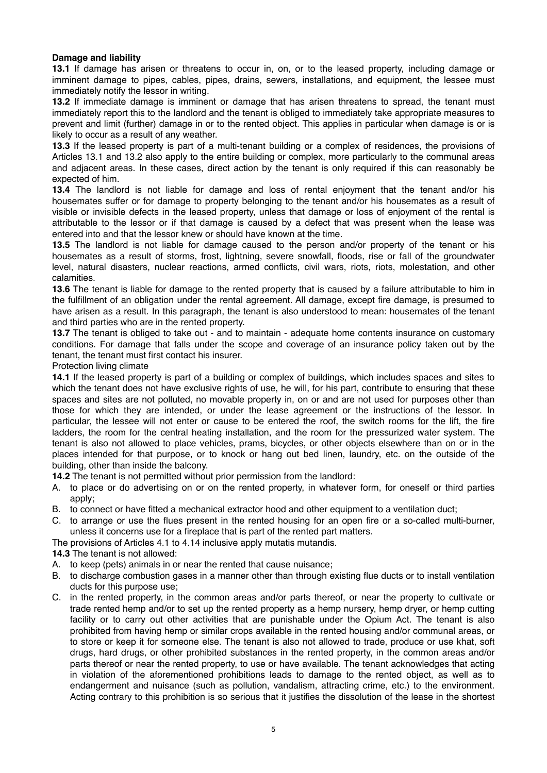# **Damage and liability**

**13.1** If damage has arisen or threatens to occur in, on, or to the leased property, including damage or imminent damage to pipes, cables, pipes, drains, sewers, installations, and equipment, the lessee must immediately notify the lessor in writing.

**13.2** If immediate damage is imminent or damage that has arisen threatens to spread, the tenant must immediately report this to the landlord and the tenant is obliged to immediately take appropriate measures to prevent and limit (further) damage in or to the rented object. This applies in particular when damage is or is likely to occur as a result of any weather.

**13.3** If the leased property is part of a multi-tenant building or a complex of residences, the provisions of Articles 13.1 and 13.2 also apply to the entire building or complex, more particularly to the communal areas and adjacent areas. In these cases, direct action by the tenant is only required if this can reasonably be expected of him.

**13.4** The landlord is not liable for damage and loss of rental enjoyment that the tenant and/or his housemates suffer or for damage to property belonging to the tenant and/or his housemates as a result of visible or invisible defects in the leased property, unless that damage or loss of enjoyment of the rental is attributable to the lessor or if that damage is caused by a defect that was present when the lease was entered into and that the lessor knew or should have known at the time.

**13.5** The landlord is not liable for damage caused to the person and/or property of the tenant or his housemates as a result of storms, frost, lightning, severe snowfall, floods, rise or fall of the groundwater level, natural disasters, nuclear reactions, armed conflicts, civil wars, riots, riots, molestation, and other calamities.

**13.6** The tenant is liable for damage to the rented property that is caused by a failure attributable to him in the fulfillment of an obligation under the rental agreement. All damage, except fire damage, is presumed to have arisen as a result. In this paragraph, the tenant is also understood to mean: housemates of the tenant and third parties who are in the rented property.

**13.7** The tenant is obliged to take out - and to maintain - adequate home contents insurance on customary conditions. For damage that falls under the scope and coverage of an insurance policy taken out by the tenant, the tenant must first contact his insurer.

Protection living climate

**14.1** If the leased property is part of a building or complex of buildings, which includes spaces and sites to which the tenant does not have exclusive rights of use, he will, for his part, contribute to ensuring that these spaces and sites are not polluted, no movable property in, on or and are not used for purposes other than those for which they are intended, or under the lease agreement or the instructions of the lessor. In particular, the lessee will not enter or cause to be entered the roof, the switch rooms for the lift, the fire ladders, the room for the central heating installation, and the room for the pressurized water system. The tenant is also not allowed to place vehicles, prams, bicycles, or other objects elsewhere than on or in the places intended for that purpose, or to knock or hang out bed linen, laundry, etc. on the outside of the building, other than inside the balcony.

**14.2** The tenant is not permitted without prior permission from the landlord:

- A. to place or do advertising on or on the rented property, in whatever form, for oneself or third parties apply;
- B. to connect or have fitted a mechanical extractor hood and other equipment to a ventilation duct;
- C. to arrange or use the flues present in the rented housing for an open fire or a so-called multi-burner, unless it concerns use for a fireplace that is part of the rented part matters.

The provisions of Articles 4.1 to 4.14 inclusive apply mutatis mutandis.

**14.3** The tenant is not allowed:

- A. to keep (pets) animals in or near the rented that cause nuisance;
- B. to discharge combustion gases in a manner other than through existing flue ducts or to install ventilation ducts for this purpose use;
- C. in the rented property, in the common areas and/or parts thereof, or near the property to cultivate or trade rented hemp and/or to set up the rented property as a hemp nursery, hemp dryer, or hemp cutting facility or to carry out other activities that are punishable under the Opium Act. The tenant is also prohibited from having hemp or similar crops available in the rented housing and/or communal areas, or to store or keep it for someone else. The tenant is also not allowed to trade, produce or use khat, soft drugs, hard drugs, or other prohibited substances in the rented property, in the common areas and/or parts thereof or near the rented property, to use or have available. The tenant acknowledges that acting in violation of the aforementioned prohibitions leads to damage to the rented object, as well as to endangerment and nuisance (such as pollution, vandalism, attracting crime, etc.) to the environment. Acting contrary to this prohibition is so serious that it justifies the dissolution of the lease in the shortest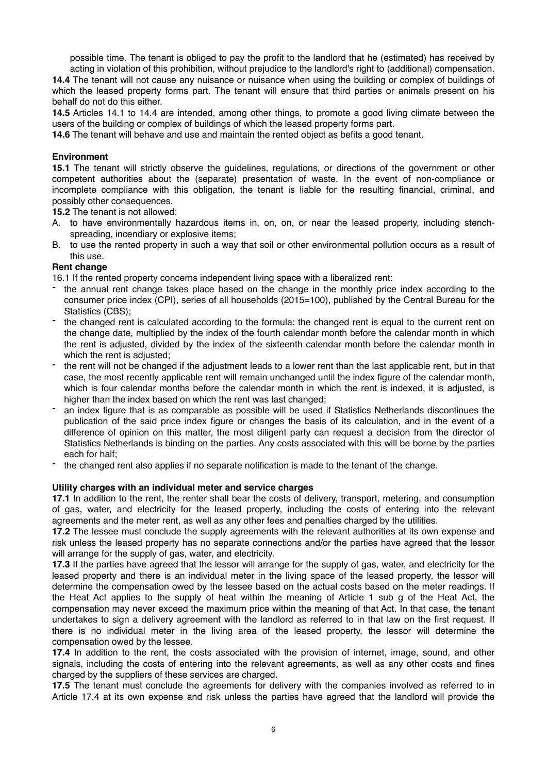possible time. The tenant is obliged to pay the profit to the landlord that he (estimated) has received by

acting in violation of this prohibition, without prejudice to the landlord's right to (additional) compensation. **14.4** The tenant will not cause any nuisance or nuisance when using the building or complex of buildings of which the leased property forms part. The tenant will ensure that third parties or animals present on his behalf do not do this either.

**14.5** Articles 14.1 to 14.4 are intended, among other things, to promote a good living climate between the users of the building or complex of buildings of which the leased property forms part.

**14.6** The tenant will behave and use and maintain the rented object as befits a good tenant.

# **Environment**

**15.1** The tenant will strictly observe the guidelines, regulations, or directions of the government or other competent authorities about the (separate) presentation of waste. In the event of non-compliance or incomplete compliance with this obligation, the tenant is liable for the resulting financial, criminal, and possibly other consequences.

**15.2** The tenant is not allowed:

- A. to have environmentally hazardous items in, on, on, or near the leased property, including stenchspreading, incendiary or explosive items;
- B. to use the rented property in such a way that soil or other environmental pollution occurs as a result of this use.

# **Rent change**

16.1 If the rented property concerns independent living space with a liberalized rent:

- the annual rent change takes place based on the change in the monthly price index according to the consumer price index (CPI), series of all households (2015=100), published by the Central Bureau for the Statistics (CBS);
- the changed rent is calculated according to the formula: the changed rent is equal to the current rent on the change date, multiplied by the index of the fourth calendar month before the calendar month in which the rent is adjusted, divided by the index of the sixteenth calendar month before the calendar month in which the rent is adjusted;
- the rent will not be changed if the adjustment leads to a lower rent than the last applicable rent, but in that case, the most recently applicable rent will remain unchanged until the index figure of the calendar month, which is four calendar months before the calendar month in which the rent is indexed, it is adjusted, is higher than the index based on which the rent was last changed:
- an index figure that is as comparable as possible will be used if Statistics Netherlands discontinues the publication of the said price index figure or changes the basis of its calculation, and in the event of a difference of opinion on this matter, the most diligent party can request a decision from the director of Statistics Netherlands is binding on the parties. Any costs associated with this will be borne by the parties each for half;
- the changed rent also applies if no separate notification is made to the tenant of the change.

# **Utility charges with an individual meter and service charges**

**17.1** In addition to the rent, the renter shall bear the costs of delivery, transport, metering, and consumption of gas, water, and electricity for the leased property, including the costs of entering into the relevant agreements and the meter rent, as well as any other fees and penalties charged by the utilities.

**17.2** The lessee must conclude the supply agreements with the relevant authorities at its own expense and risk unless the leased property has no separate connections and/or the parties have agreed that the lessor will arrange for the supply of gas, water, and electricity.

**17.3** If the parties have agreed that the lessor will arrange for the supply of gas, water, and electricity for the leased property and there is an individual meter in the living space of the leased property, the lessor will determine the compensation owed by the lessee based on the actual costs based on the meter readings. If the Heat Act applies to the supply of heat within the meaning of Article 1 sub g of the Heat Act, the compensation may never exceed the maximum price within the meaning of that Act. In that case, the tenant undertakes to sign a delivery agreement with the landlord as referred to in that law on the first request. If there is no individual meter in the living area of the leased property, the lessor will determine the compensation owed by the lessee.

**17.4** In addition to the rent, the costs associated with the provision of internet, image, sound, and other signals, including the costs of entering into the relevant agreements, as well as any other costs and fines charged by the suppliers of these services are charged.

**17.5** The tenant must conclude the agreements for delivery with the companies involved as referred to in Article 17.4 at its own expense and risk unless the parties have agreed that the landlord will provide the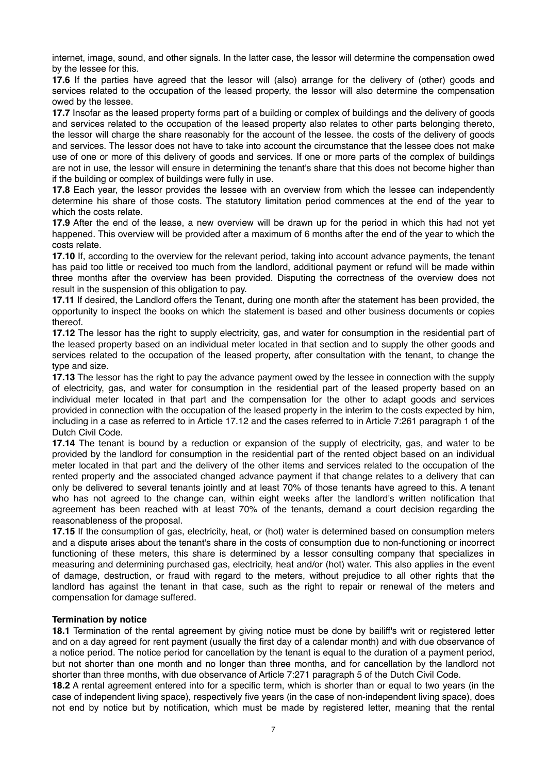internet, image, sound, and other signals. In the latter case, the lessor will determine the compensation owed by the lessee for this.

**17.6** If the parties have agreed that the lessor will (also) arrange for the delivery of (other) goods and services related to the occupation of the leased property, the lessor will also determine the compensation owed by the lessee.

**17.7** Insofar as the leased property forms part of a building or complex of buildings and the delivery of goods and services related to the occupation of the leased property also relates to other parts belonging thereto, the lessor will charge the share reasonably for the account of the lessee. the costs of the delivery of goods and services. The lessor does not have to take into account the circumstance that the lessee does not make use of one or more of this delivery of goods and services. If one or more parts of the complex of buildings are not in use, the lessor will ensure in determining the tenant's share that this does not become higher than if the building or complex of buildings were fully in use.

**17.8** Each year, the lessor provides the lessee with an overview from which the lessee can independently determine his share of those costs. The statutory limitation period commences at the end of the year to which the costs relate.

**17.9** After the end of the lease, a new overview will be drawn up for the period in which this had not yet happened. This overview will be provided after a maximum of 6 months after the end of the year to which the costs relate.

**17.10** If, according to the overview for the relevant period, taking into account advance payments, the tenant has paid too little or received too much from the landlord, additional payment or refund will be made within three months after the overview has been provided. Disputing the correctness of the overview does not result in the suspension of this obligation to pay.

**17.11** If desired, the Landlord offers the Tenant, during one month after the statement has been provided, the opportunity to inspect the books on which the statement is based and other business documents or copies thereof.

**17.12** The lessor has the right to supply electricity, gas, and water for consumption in the residential part of the leased property based on an individual meter located in that section and to supply the other goods and services related to the occupation of the leased property, after consultation with the tenant, to change the type and size.

**17.13** The lessor has the right to pay the advance payment owed by the lessee in connection with the supply of electricity, gas, and water for consumption in the residential part of the leased property based on an individual meter located in that part and the compensation for the other to adapt goods and services provided in connection with the occupation of the leased property in the interim to the costs expected by him, including in a case as referred to in Article 17.12 and the cases referred to in Article 7:261 paragraph 1 of the Dutch Civil Code.

**17.14** The tenant is bound by a reduction or expansion of the supply of electricity, gas, and water to be provided by the landlord for consumption in the residential part of the rented object based on an individual meter located in that part and the delivery of the other items and services related to the occupation of the rented property and the associated changed advance payment if that change relates to a delivery that can only be delivered to several tenants jointly and at least 70% of those tenants have agreed to this. A tenant who has not agreed to the change can, within eight weeks after the landlord's written notification that agreement has been reached with at least 70% of the tenants, demand a court decision regarding the reasonableness of the proposal.

**17.15** If the consumption of gas, electricity, heat, or (hot) water is determined based on consumption meters and a dispute arises about the tenant's share in the costs of consumption due to non-functioning or incorrect functioning of these meters, this share is determined by a lessor consulting company that specializes in measuring and determining purchased gas, electricity, heat and/or (hot) water. This also applies in the event of damage, destruction, or fraud with regard to the meters, without prejudice to all other rights that the landlord has against the tenant in that case, such as the right to repair or renewal of the meters and compensation for damage suffered.

# **Termination by notice**

**18.1** Termination of the rental agreement by giving notice must be done by bailiff's writ or registered letter and on a day agreed for rent payment (usually the first day of a calendar month) and with due observance of a notice period. The notice period for cancellation by the tenant is equal to the duration of a payment period, but not shorter than one month and no longer than three months, and for cancellation by the landlord not shorter than three months, with due observance of Article 7:271 paragraph 5 of the Dutch Civil Code.

**18.2** A rental agreement entered into for a specific term, which is shorter than or equal to two years (in the case of independent living space), respectively five years (in the case of non-independent living space), does not end by notice but by notification, which must be made by registered letter, meaning that the rental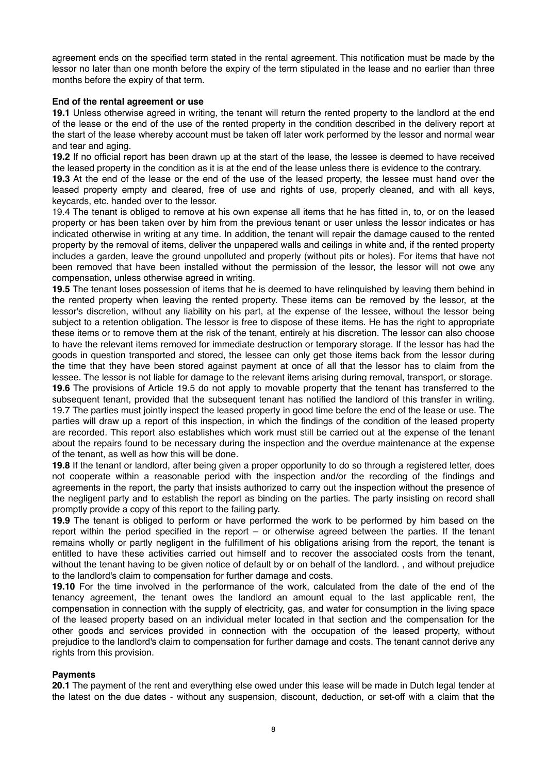agreement ends on the specified term stated in the rental agreement. This notification must be made by the lessor no later than one month before the expiry of the term stipulated in the lease and no earlier than three months before the expiry of that term.

## **End of the rental agreement or use**

**19.1** Unless otherwise agreed in writing, the tenant will return the rented property to the landlord at the end of the lease or the end of the use of the rented property in the condition described in the delivery report at the start of the lease whereby account must be taken off later work performed by the lessor and normal wear and tear and aging.

**19.2** If no official report has been drawn up at the start of the lease, the lessee is deemed to have received the leased property in the condition as it is at the end of the lease unless there is evidence to the contrary.

**19.3** At the end of the lease or the end of the use of the leased property, the lessee must hand over the leased property empty and cleared, free of use and rights of use, properly cleaned, and with all keys, keycards, etc. handed over to the lessor.

19.4 The tenant is obliged to remove at his own expense all items that he has fitted in, to, or on the leased property or has been taken over by him from the previous tenant or user unless the lessor indicates or has indicated otherwise in writing at any time. In addition, the tenant will repair the damage caused to the rented property by the removal of items, deliver the unpapered walls and ceilings in white and, if the rented property includes a garden, leave the ground unpolluted and properly (without pits or holes). For items that have not been removed that have been installed without the permission of the lessor, the lessor will not owe any compensation, unless otherwise agreed in writing.

**19.5** The tenant loses possession of items that he is deemed to have relinquished by leaving them behind in the rented property when leaving the rented property. These items can be removed by the lessor, at the lessor's discretion, without any liability on his part, at the expense of the lessee, without the lessor being subject to a retention obligation. The lessor is free to dispose of these items. He has the right to appropriate these items or to remove them at the risk of the tenant, entirely at his discretion. The lessor can also choose to have the relevant items removed for immediate destruction or temporary storage. If the lessor has had the goods in question transported and stored, the lessee can only get those items back from the lessor during the time that they have been stored against payment at once of all that the lessor has to claim from the lessee. The lessor is not liable for damage to the relevant items arising during removal, transport, or storage.

**19.6** The provisions of Article 19.5 do not apply to movable property that the tenant has transferred to the subsequent tenant, provided that the subsequent tenant has notified the landlord of this transfer in writing. 19.7 The parties must jointly inspect the leased property in good time before the end of the lease or use. The parties will draw up a report of this inspection, in which the findings of the condition of the leased property are recorded. This report also establishes which work must still be carried out at the expense of the tenant about the repairs found to be necessary during the inspection and the overdue maintenance at the expense of the tenant, as well as how this will be done.

**19.8** If the tenant or landlord, after being given a proper opportunity to do so through a registered letter, does not cooperate within a reasonable period with the inspection and/or the recording of the findings and agreements in the report, the party that insists authorized to carry out the inspection without the presence of the negligent party and to establish the report as binding on the parties. The party insisting on record shall promptly provide a copy of this report to the failing party.

**19.9** The tenant is obliged to perform or have performed the work to be performed by him based on the report within the period specified in the report – or otherwise agreed between the parties. If the tenant remains wholly or partly negligent in the fulfillment of his obligations arising from the report, the tenant is entitled to have these activities carried out himself and to recover the associated costs from the tenant, without the tenant having to be given notice of default by or on behalf of the landlord. , and without prejudice to the landlord's claim to compensation for further damage and costs.

**19.10** For the time involved in the performance of the work, calculated from the date of the end of the tenancy agreement, the tenant owes the landlord an amount equal to the last applicable rent, the compensation in connection with the supply of electricity, gas, and water for consumption in the living space of the leased property based on an individual meter located in that section and the compensation for the other goods and services provided in connection with the occupation of the leased property, without prejudice to the landlord's claim to compensation for further damage and costs. The tenant cannot derive any rights from this provision.

# **Payments**

**20.1** The payment of the rent and everything else owed under this lease will be made in Dutch legal tender at the latest on the due dates - without any suspension, discount, deduction, or set-off with a claim that the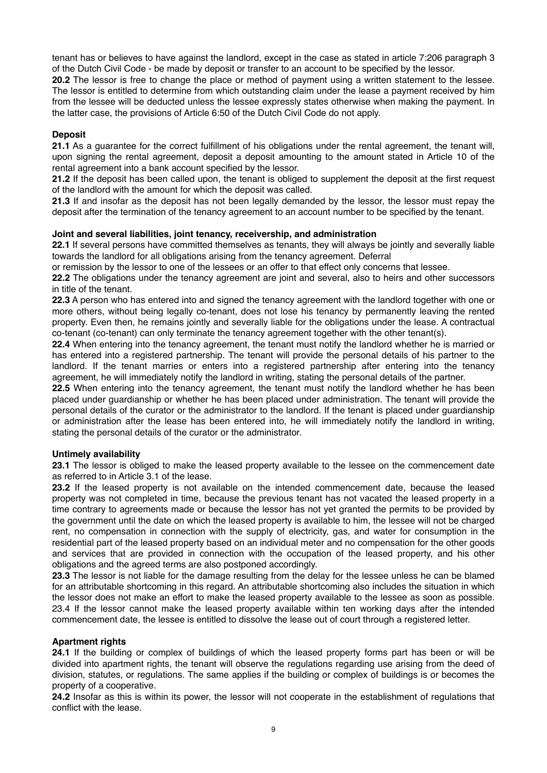tenant has or believes to have against the landlord, except in the case as stated in article 7:206 paragraph 3 of the Dutch Civil Code - be made by deposit or transfer to an account to be specified by the lessor.

**20.2** The lessor is free to change the place or method of payment using a written statement to the lessee. The lessor is entitled to determine from which outstanding claim under the lease a payment received by him from the lessee will be deducted unless the lessee expressly states otherwise when making the payment. In the latter case, the provisions of Article 6:50 of the Dutch Civil Code do not apply.

# **Deposit**

**21.1** As a guarantee for the correct fulfillment of his obligations under the rental agreement, the tenant will, upon signing the rental agreement, deposit a deposit amounting to the amount stated in Article 10 of the rental agreement into a bank account specified by the lessor.

**21.2** If the deposit has been called upon, the tenant is obliged to supplement the deposit at the first request of the landlord with the amount for which the deposit was called.

**21.3** If and insofar as the deposit has not been legally demanded by the lessor, the lessor must repay the deposit after the termination of the tenancy agreement to an account number to be specified by the tenant.

# **Joint and several liabilities, joint tenancy, receivership, and administration**

**22.1** If several persons have committed themselves as tenants, they will always be jointly and severally liable towards the landlord for all obligations arising from the tenancy agreement. Deferral

or remission by the lessor to one of the lessees or an offer to that effect only concerns that lessee.

**22.2** The obligations under the tenancy agreement are joint and several, also to heirs and other successors in title of the tenant.

**22.3** A person who has entered into and signed the tenancy agreement with the landlord together with one or more others, without being legally co-tenant, does not lose his tenancy by permanently leaving the rented property. Even then, he remains jointly and severally liable for the obligations under the lease. A contractual co-tenant (co-tenant) can only terminate the tenancy agreement together with the other tenant(s).

**22.4** When entering into the tenancy agreement, the tenant must notify the landlord whether he is married or has entered into a registered partnership. The tenant will provide the personal details of his partner to the landlord. If the tenant marries or enters into a registered partnership after entering into the tenancy agreement, he will immediately notify the landlord in writing, stating the personal details of the partner.

**22.5** When entering into the tenancy agreement, the tenant must notify the landlord whether he has been placed under guardianship or whether he has been placed under administration. The tenant will provide the personal details of the curator or the administrator to the landlord. If the tenant is placed under guardianship or administration after the lease has been entered into, he will immediately notify the landlord in writing, stating the personal details of the curator or the administrator.

# **Untimely availability**

**23.1** The lessor is obliged to make the leased property available to the lessee on the commencement date as referred to in Article 3.1 of the lease.

**23.2** If the leased property is not available on the intended commencement date, because the leased property was not completed in time, because the previous tenant has not vacated the leased property in a time contrary to agreements made or because the lessor has not yet granted the permits to be provided by the government until the date on which the leased property is available to him, the lessee will not be charged rent, no compensation in connection with the supply of electricity, gas, and water for consumption in the residential part of the leased property based on an individual meter and no compensation for the other goods and services that are provided in connection with the occupation of the leased property, and his other obligations and the agreed terms are also postponed accordingly.

**23.3** The lessor is not liable for the damage resulting from the delay for the lessee unless he can be blamed for an attributable shortcoming in this regard. An attributable shortcoming also includes the situation in which the lessor does not make an effort to make the leased property available to the lessee as soon as possible. 23.4 If the lessor cannot make the leased property available within ten working days after the intended commencement date, the lessee is entitled to dissolve the lease out of court through a registered letter.

# **Apartment rights**

**24.1** If the building or complex of buildings of which the leased property forms part has been or will be divided into apartment rights, the tenant will observe the regulations regarding use arising from the deed of division, statutes, or regulations. The same applies if the building or complex of buildings is or becomes the property of a cooperative.

**24.2** Insofar as this is within its power, the lessor will not cooperate in the establishment of regulations that conflict with the lease.